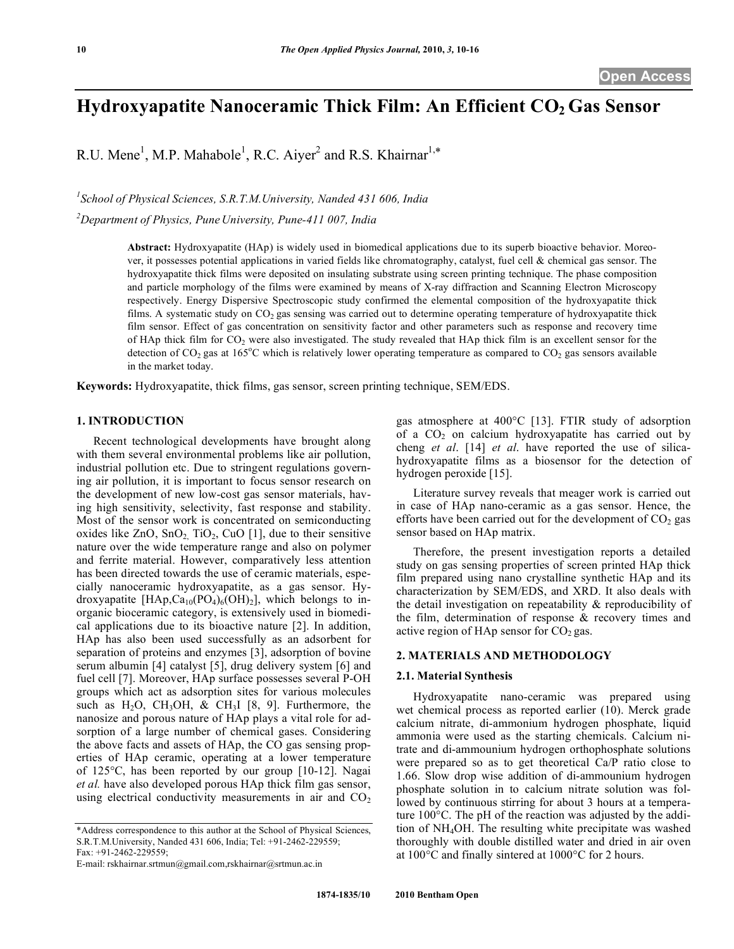# **Hydroxyapatite Nanoceramic Thick Film: An Efficient CO<sub>2</sub> Gas Sensor**

R.U. Mene<sup>1</sup>, M.P. Mahabole<sup>1</sup>, R.C. Aiyer<sup>2</sup> and R.S. Khairnar<sup>1,\*</sup>

*1 School of Physical Sciences, S.R.T.M.University, Nanded 431 606, India*

*2 Department of Physics, Pune University, Pune-411 007, India*

**Abstract:** Hydroxyapatite (HAp) is widely used in biomedical applications due to its superb bioactive behavior. Moreover, it possesses potential applications in varied fields like chromatography, catalyst, fuel cell & chemical gas sensor. The hydroxyapatite thick films were deposited on insulating substrate using screen printing technique. The phase composition and particle morphology of the films were examined by means of X-ray diffraction and Scanning Electron Microscopy respectively. Energy Dispersive Spectroscopic study confirmed the elemental composition of the hydroxyapatite thick films. A systematic study on  $CO<sub>2</sub>$  gas sensing was carried out to determine operating temperature of hydroxyapatite thick film sensor. Effect of gas concentration on sensitivity factor and other parameters such as response and recovery time of HAp thick film for  $CO_2$  were also investigated. The study revealed that HAp thick film is an excellent sensor for the detection of CO<sub>2</sub> gas at 165°C which is relatively lower operating temperature as compared to CO<sub>2</sub> gas sensors available in the market today.

**Keywords:** Hydroxyapatite, thick films, gas sensor, screen printing technique, SEM/EDS.

# **1. INTRODUCTION**

Recent technological developments have brought along with them several environmental problems like air pollution, industrial pollution etc. Due to stringent regulations governing air pollution, it is important to focus sensor research on the development of new low-cost gas sensor materials, having high sensitivity, selectivity, fast response and stability. Most of the sensor work is concentrated on semiconducting oxides like  $ZnO$ ,  $SnO<sub>2</sub>$ ,  $TiO<sub>2</sub>$ ,  $CuO$  [1], due to their sensitive nature over the wide temperature range and also on polymer and ferrite material. However, comparatively less attention has been directed towards the use of ceramic materials, especially nanoceramic hydroxyapatite, as a gas sensor. Hydroxyapatite [HAp, $Ca_{10}(PO_4)_6(OH)_2$ ], which belongs to inorganic bioceramic category, is extensively used in biomedical applications due to its bioactive nature [2]. In addition, HAp has also been used successfully as an adsorbent for separation of proteins and enzymes [3], adsorption of bovine serum albumin [4] catalyst [5], drug delivery system [6] and fuel cell [7]. Moreover, HAp surface possesses several P-OH groups which act as adsorption sites for various molecules such as  $H_2O$ , CH<sub>3</sub>OH, & CH<sub>3</sub>I [8, 9]. Furthermore, the nanosize and porous nature of HAp plays a vital role for adsorption of a large number of chemical gases. Considering the above facts and assets of HAp, the CO gas sensing properties of HAp ceramic, operating at a lower temperature of 125°C, has been reported by our group [10-12]. Nagai *et al.* have also developed porous HAp thick film gas sensor, using electrical conductivity measurements in air and  $CO<sub>2</sub>$ 

gas atmosphere at 400°C [13]. FTIR study of adsorption of a  $CO<sub>2</sub>$  on calcium hydroxyapatite has carried out by cheng *et al*. [14] *et al*. have reported the use of silicahydroxyapatite films as a biosensor for the detection of hydrogen peroxide [15].

Literature survey reveals that meager work is carried out in case of HAp nano-ceramic as a gas sensor. Hence, the efforts have been carried out for the development of  $CO<sub>2</sub>$  gas sensor based on HAp matrix.

Therefore, the present investigation reports a detailed study on gas sensing properties of screen printed HAp thick film prepared using nano crystalline synthetic HAp and its characterization by SEM/EDS, and XRD. It also deals with the detail investigation on repeatability & reproducibility of the film, determination of response & recovery times and active region of HAp sensor for  $CO<sub>2</sub>$  gas.

## **2. MATERIALS AND METHODOLOGY**

#### **2.1. Material Synthesis**

Hydroxyapatite nano-ceramic was prepared using wet chemical process as reported earlier (10). Merck grade calcium nitrate, di-ammonium hydrogen phosphate, liquid ammonia were used as the starting chemicals. Calcium nitrate and di-ammounium hydrogen orthophosphate solutions were prepared so as to get theoretical Ca/P ratio close to 1.66. Slow drop wise addition of di-ammounium hydrogen phosphate solution in to calcium nitrate solution was followed by continuous stirring for about 3 hours at a temperature 100°C. The pH of the reaction was adjusted by the addition of NH4OH. The resulting white precipitate was washed thoroughly with double distilled water and dried in air oven at 100°C and finally sintered at 1000°C for 2 hours.

<sup>\*</sup>Address correspondence to this author at the School of Physical Sciences, S.R.T.M.University, Nanded 431 606, India; Tel: +91-2462-229559; Fax: +91-2462-229559;

E-mail: rskhairnar.srtmun@gmail.com,rskhairnar@srtmun.ac.in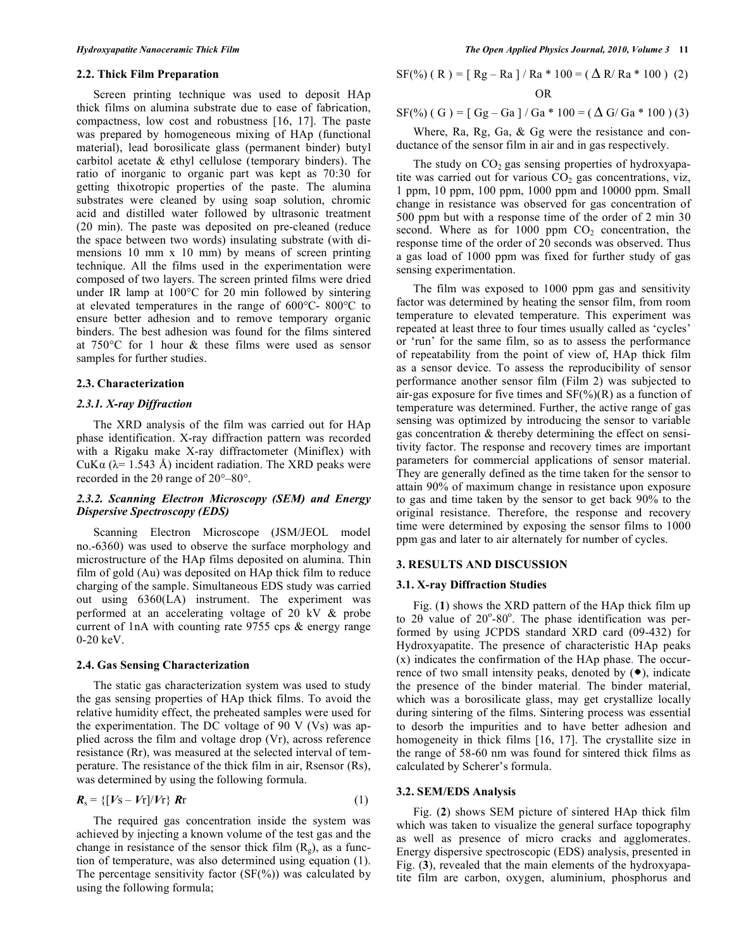#### **2.2. Thick Film Preparation**

Screen printing technique was used to deposit HAp thick films on alumina substrate due to ease of fabrication, compactness, low cost and robustness [16, 17]. The paste was prepared by homogeneous mixing of HAp (functional material), lead borosilicate glass (permanent binder) butyl carbitol acetate & ethyl cellulose (temporary binders). The ratio of inorganic to organic part was kept as 70:30 for getting thixotropic properties of the paste. The alumina substrates were cleaned by using soap solution, chromic acid and distilled water followed by ultrasonic treatment (20 min). The paste was deposited on pre-cleaned (reduce the space between two words) insulating substrate (with dimensions 10 mm x 10 mm) by means of screen printing technique. All the films used in the experimentation were composed of two layers. The screen printed films were dried under IR lamp at 100°C for 20 min followed by sintering at elevated temperatures in the range of 600°C- 800°C to ensure better adhesion and to remove temporary organic binders. The best adhesion was found for the films sintered at 750°C for 1 hour & these films were used as sensor samples for further studies.

## **2.3. Characterization**

#### *2.3.1. X-ray Diffraction*

The XRD analysis of the film was carried out for HAp phase identification. X-ray diffraction pattern was recorded with a Rigaku make X-ray diffractometer (Miniflex) with CuK $\alpha$  ( $\lambda$ = 1.543 Å) incident radiation. The XRD peaks were recorded in the 2θ range of 20°–80°.

## *2.3.2. Scanning Electron Microscopy (SEM) and Energy Dispersive Spectroscopy (EDS)*

Scanning Electron Microscope (JSM/JEOL model no.-6360) was used to observe the surface morphology and microstructure of the HAp films deposited on alumina. Thin film of gold (Au) was deposited on HAp thick film to reduce charging of the sample. Simultaneous EDS study was carried out using 6360(LA) instrument. The experiment was performed at an accelerating voltage of 20 kV & probe current of 1nA with counting rate 9755 cps & energy range 0-20 keV.

#### **2.4. Gas Sensing Characterization**

The static gas characterization system was used to study the gas sensing properties of HAp thick films. To avoid the relative humidity effect, the preheated samples were used for the experimentation. The DC voltage of 90 V (Vs) was applied across the film and voltage drop (Vr), across reference resistance (Rr), was measured at the selected interval of temperature. The resistance of the thick film in air, Rsensor (Rs), was determined by using the following formula.

$$
\boldsymbol{R}_{\rm s} = \{ [V_{\rm S} - V_{\rm T}] / V_{\rm T} \} \boldsymbol{R}_{\rm T} \tag{1}
$$

The required gas concentration inside the system was achieved by injecting a known volume of the test gas and the change in resistance of the sensor thick film  $(R_{\varphi})$ , as a function of temperature, was also determined using equation (1). The percentage sensitivity factor  $(SF(\%))$  was calculated by using the following formula;

SF(%) ( R) = [ Rg – Ra ] / Ra \* 100 = (
$$
\Delta
$$
 R/ Ra \* 100 ) (2)  
OR

 $SF(\%)$  ( G ) = [ Gg – Ga ] / Ga \* 100 = ( $\Delta$  G/ Ga \* 100 ) (3)

Where, Ra, Rg, Ga, & Gg were the resistance and conductance of the sensor film in air and in gas respectively.

The study on  $CO<sub>2</sub>$  gas sensing properties of hydroxyapatite was carried out for various  $CO<sub>2</sub>$  gas concentrations, viz, 1 ppm, 10 ppm, 100 ppm, 1000 ppm and 10000 ppm. Small change in resistance was observed for gas concentration of 500 ppm but with a response time of the order of 2 min 30 second. Where as for  $1000$  ppm  $CO<sub>2</sub>$  concentration, the response time of the order of 20 seconds was observed. Thus a gas load of 1000 ppm was fixed for further study of gas sensing experimentation.

The film was exposed to 1000 ppm gas and sensitivity factor was determined by heating the sensor film, from room temperature to elevated temperature. This experiment was repeated at least three to four times usually called as 'cycles' or 'run' for the same film, so as to assess the performance of repeatability from the point of view of, HAp thick film as a sensor device. To assess the reproducibility of sensor performance another sensor film (Film 2) was subjected to air-gas exposure for five times and  $SF(\%)(R)$  as a function of temperature was determined. Further, the active range of gas sensing was optimized by introducing the sensor to variable gas concentration & thereby determining the effect on sensitivity factor. The response and recovery times are important parameters for commercial applications of sensor material. They are generally defined as the time taken for the sensor to attain 90% of maximum change in resistance upon exposure to gas and time taken by the sensor to get back 90% to the original resistance. Therefore, the response and recovery time were determined by exposing the sensor films to 1000 ppm gas and later to air alternately for number of cycles.

#### **3. RESULTS AND DISCUSSION**

## **3.1. X-ray Diffraction Studies**

Fig. (**1**) shows the XRD pattern of the HAp thick film up to 2θ value of 20°-80°. The phase identification was performed by using JCPDS standard XRD card (09-432) for Hydroxyapatite. The presence of characteristic HAp peaks (x) indicates the confirmation of the HAp phase. The occurrence of two small intensity peaks, denoted by  $(•)$ , indicate the presence of the binder material. The binder material, which was a borosilicate glass, may get crystallize locally during sintering of the films. Sintering process was essential to desorb the impurities and to have better adhesion and homogeneity in thick films [16, 17]. The crystallite size in the range of 58-60 nm was found for sintered thick films as calculated by Scherer's formula.

## **3.2. SEM/EDS Analysis**

Fig. (**2**) shows SEM picture of sintered HAp thick film which was taken to visualize the general surface topography as well as presence of micro cracks and agglomerates. Energy dispersive spectroscopic (EDS) analysis, presented in Fig. (**3**), revealed that the main elements of the hydroxyapatite film are carbon, oxygen, aluminium, phosphorus and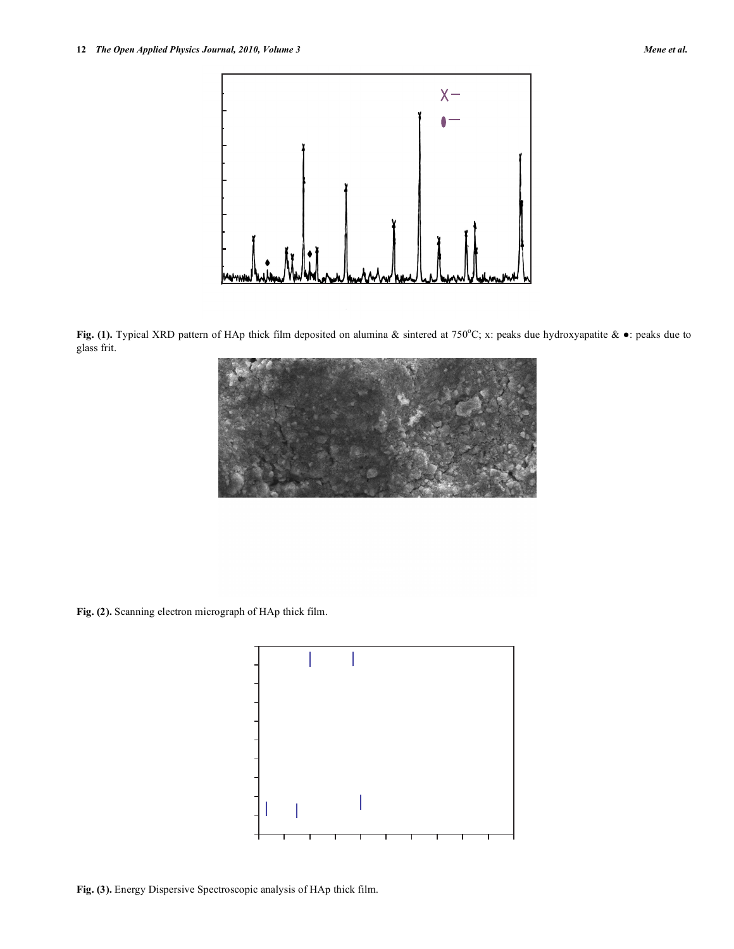

**Fig. (1).** Typical XRD pattern of HAp thick film deposited on alumina & sintered at 750°C; x: peaks due hydroxyapatite &  $\bullet$ : peaks due to glass frit.

**Fig. (2).** Scanning electron micrograph of HAp thick film.



**Fig. (3).** Energy Dispersive Spectroscopic analysis of HAp thick film.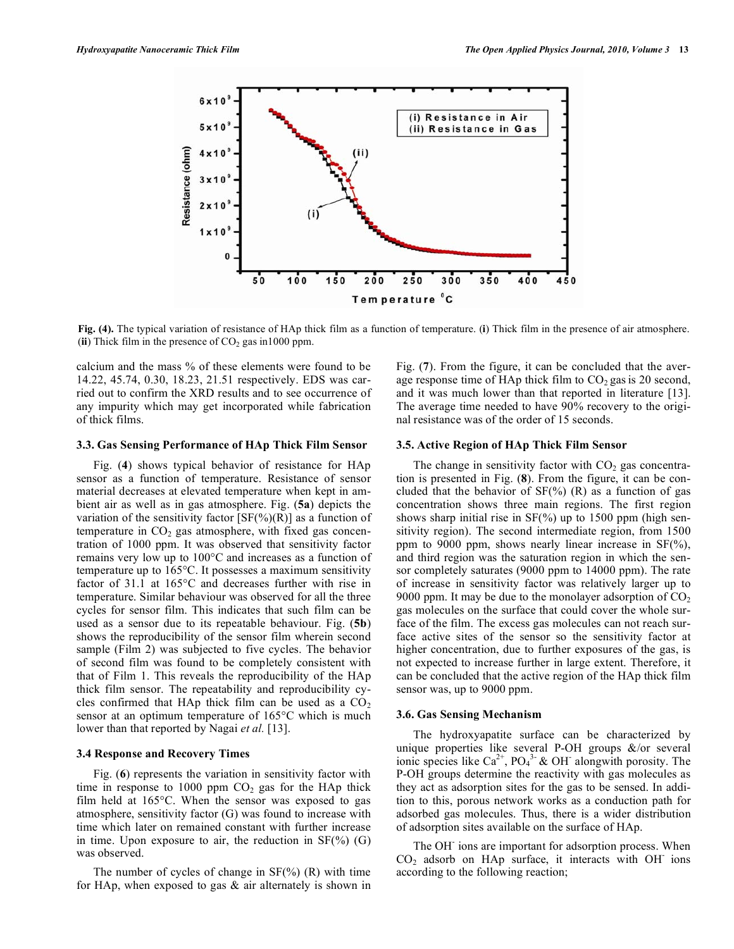

**Fig. (4).** The typical variation of resistance of HAp thick film as a function of temperature. (**i**) Thick film in the presence of air atmosphere. (ii) Thick film in the presence of  $CO<sub>2</sub>$  gas in 1000 ppm.

calcium and the mass % of these elements were found to be 14.22, 45.74, 0.30, 18.23, 21.51 respectively. EDS was carried out to confirm the XRD results and to see occurrence of any impurity which may get incorporated while fabrication of thick films.

#### **3.3. Gas Sensing Performance of HAp Thick Film Sensor**

Fig. (**4**) shows typical behavior of resistance for HAp sensor as a function of temperature. Resistance of sensor material decreases at elevated temperature when kept in ambient air as well as in gas atmosphere. Fig. (**5a**) depicts the variation of the sensitivity factor  $[SF(\%)(R)]$  as a function of temperature in  $CO<sub>2</sub>$  gas atmosphere, with fixed gas concentration of 1000 ppm. It was observed that sensitivity factor remains very low up to 100°C and increases as a function of temperature up to 165°C. It possesses a maximum sensitivity factor of 31.1 at 165°C and decreases further with rise in temperature. Similar behaviour was observed for all the three cycles for sensor film. This indicates that such film can be used as a sensor due to its repeatable behaviour. Fig. (**5b**) shows the reproducibility of the sensor film wherein second sample (Film 2) was subjected to five cycles. The behavior of second film was found to be completely consistent with that of Film 1. This reveals the reproducibility of the HAp thick film sensor. The repeatability and reproducibility cycles confirmed that HAp thick film can be used as a  $CO<sub>2</sub>$ sensor at an optimum temperature of 165°C which is much lower than that reported by Nagai *et al.* [13].

## **3.4 Response and Recovery Times**

Fig. (**6**) represents the variation in sensitivity factor with time in response to 1000 ppm  $CO<sub>2</sub>$  gas for the HAp thick film held at 165°C. When the sensor was exposed to gas atmosphere, sensitivity factor (G) was found to increase with time which later on remained constant with further increase in time. Upon exposure to air, the reduction in  $SF(\%)$  (G) was observed.

The number of cycles of change in  $SF(\%)$  (R) with time for HAp, when exposed to gas  $\&$  air alternately is shown in Fig. (**7**). From the figure, it can be concluded that the average response time of HAp thick film to  $CO<sub>2</sub>$  gas is 20 second, and it was much lower than that reported in literature [13]. The average time needed to have 90% recovery to the original resistance was of the order of 15 seconds.

#### **3.5. Active Region of HAp Thick Film Sensor**

The change in sensitivity factor with  $CO<sub>2</sub>$  gas concentration is presented in Fig. (**8**). From the figure, it can be concluded that the behavior of  $SF(\%)$  (R) as a function of gas concentration shows three main regions. The first region shows sharp initial rise in  $SF(\%)$  up to 1500 ppm (high sensitivity region). The second intermediate region, from 1500 ppm to 9000 ppm, shows nearly linear increase in SF(%), and third region was the saturation region in which the sensor completely saturates (9000 ppm to 14000 ppm). The rate of increase in sensitivity factor was relatively larger up to 9000 ppm. It may be due to the monolayer adsorption of  $CO<sub>2</sub>$ gas molecules on the surface that could cover the whole surface of the film. The excess gas molecules can not reach surface active sites of the sensor so the sensitivity factor at higher concentration, due to further exposures of the gas, is not expected to increase further in large extent. Therefore, it can be concluded that the active region of the HAp thick film sensor was, up to 9000 ppm.

#### **3.6. Gas Sensing Mechanism**

The hydroxyapatite surface can be characterized by unique properties like several P-OH groups &/or several ionic species like  $Ca^{2+}$ ,  $PO<sub>4</sub><sup>3-</sup>$  & OH<sup>-</sup> alongwith porosity. The P-OH groups determine the reactivity with gas molecules as they act as adsorption sites for the gas to be sensed. In addition to this, porous network works as a conduction path for adsorbed gas molecules. Thus, there is a wider distribution of adsorption sites available on the surface of HAp.

The OH<sup>-</sup> ions are important for adsorption process. When  $CO<sub>2</sub>$  adsorb on HAp surface, it interacts with OH ions according to the following reaction;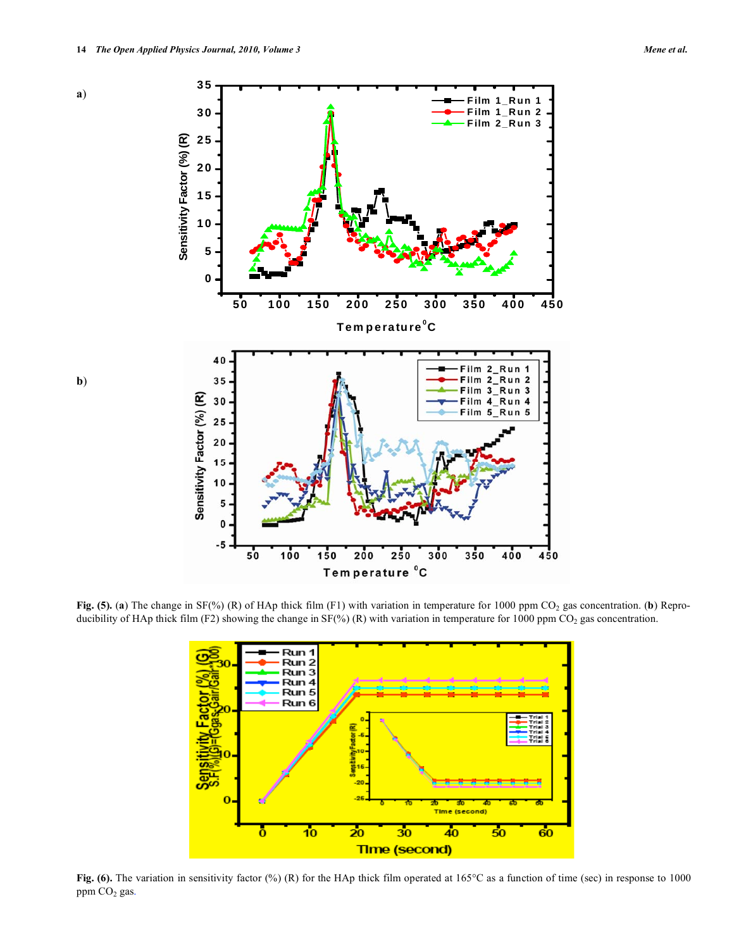

Fig. (5). (a) The change in SF(%) (R) of HAp thick film (F1) with variation in temperature for 1000 ppm CO<sub>2</sub> gas concentration. (b) Reproducibility of HAp thick film (F2) showing the change in  $SF(\%)$  (R) with variation in temperature for 1000 ppm CO<sub>2</sub> gas concentration.



**Fig. (6).** The variation in sensitivity factor (%) (R) for the HAp thick film operated at 165°C as a function of time (sec) in response to 1000 ppm  $CO<sub>2</sub>$  gas.

**b**)

**a**)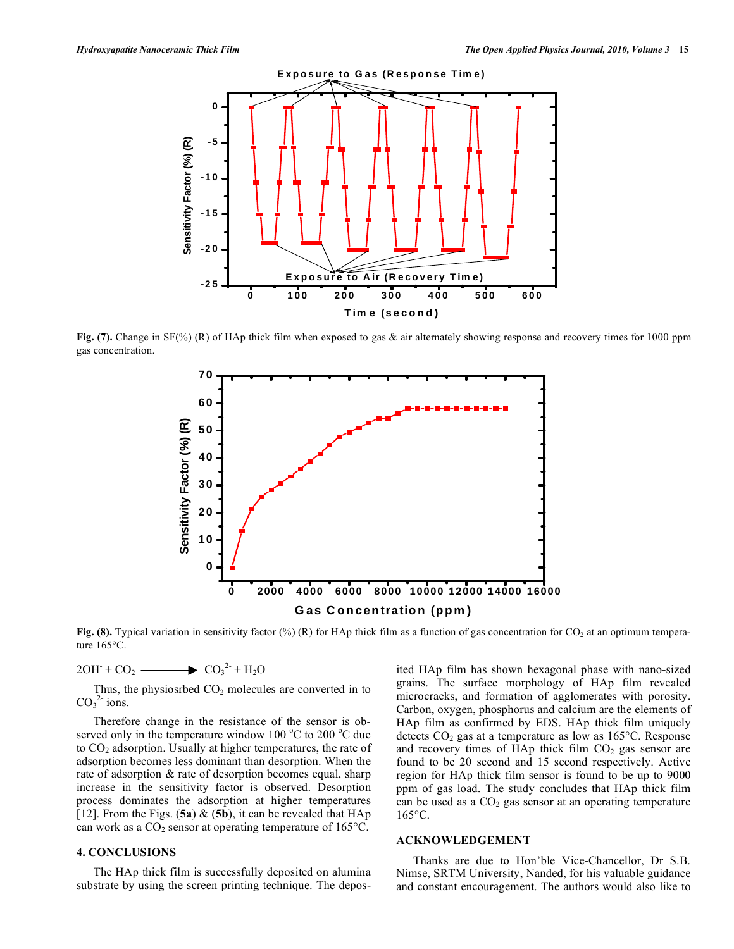

**Fig.** (7). Change in SF(%) (R) of HAp thick film when exposed to gas & air alternately showing response and recovery times for 1000 ppm gas concentration.



**Fig. (8).** Typical variation in sensitivity factor (%) (R) for HAp thick film as a function of gas concentration for CO<sub>2</sub> at an optimum temperature 165°C.

 $2OH + CO_2$   $\longrightarrow CO_3^{2+} + H_2O$ 

Thus, the physiosrbed  $CO<sub>2</sub>$  molecules are converted in to  $CO<sub>3</sub><sup>2</sup>$  ions.

Therefore change in the resistance of the sensor is observed only in the temperature window  $100^{\circ}$ C to  $200^{\circ}$ C due to  $CO<sub>2</sub>$  adsorption. Usually at higher temperatures, the rate of adsorption becomes less dominant than desorption. When the rate of adsorption & rate of desorption becomes equal, sharp increase in the sensitivity factor is observed. Desorption process dominates the adsorption at higher temperatures [12]. From the Figs. (**5a**) & (**5b**), it can be revealed that HAp can work as a  $CO_2$  sensor at operating temperature of 165 $^{\circ}$ C.

## **4. CONCLUSIONS**

The HAp thick film is successfully deposited on alumina substrate by using the screen printing technique. The deposited HAp film has shown hexagonal phase with nano-sized grains. The surface morphology of HAp film revealed microcracks, and formation of agglomerates with porosity. Carbon, oxygen, phosphorus and calcium are the elements of HAp film as confirmed by EDS. HAp thick film uniquely detects  $CO<sub>2</sub>$  gas at a temperature as low as 165 $^{\circ}$ C. Response and recovery times of HAp thick film  $CO<sub>2</sub>$  gas sensor are found to be 20 second and 15 second respectively. Active region for HAp thick film sensor is found to be up to 9000 ppm of gas load. The study concludes that HAp thick film can be used as a  $CO<sub>2</sub>$  gas sensor at an operating temperature 165°C.

#### **ACKNOWLEDGEMENT**

Thanks are due to Hon'ble Vice-Chancellor, Dr S.B. Nimse, SRTM University, Nanded, for his valuable guidance and constant encouragement. The authors would also like to